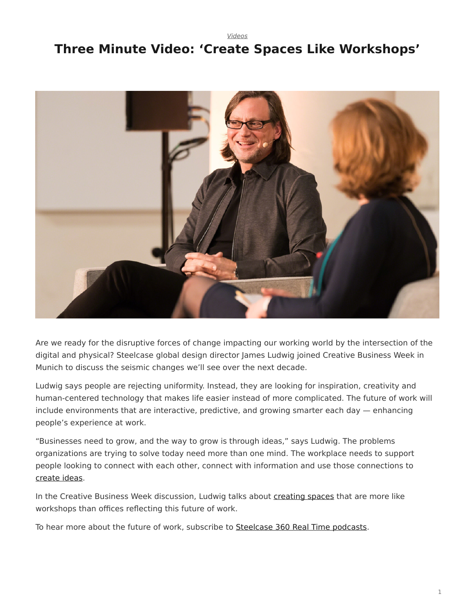*[Videos](https://www.steelcase.com/research/topics/video/)*

## <span id="page-0-0"></span>**Three Minute Video: 'Create Spaces Like Workshops'**



Are we ready for the disruptive forces of change impacting our working world by the intersection of the digital and physical? Steelcase global design director James Ludwig joined Creative Business Week in Munich to discuss the seismic changes we'll see over the next decade.

Ludwig says people are rejecting uniformity. Instead, they are looking for inspiration, creativity and human-centered technology that makes life easier instead of more complicated. The future of work will include environments that are interactive, predictive, and growing smarter each day — enhancing people's experience at work.

"Businesses need to grow, and the way to grow is through ideas," says Ludwig. The problems organizations are trying to solve today need more than one mind. The workplace needs to support people looking to connect with each other, connect with information and use those connections to [create ideas.](https://www.steelcase.com/microsoft-steelcase/?utm_source=blog)

In the Creative Business Week discussion, Ludwig talks about [creating spaces](https://www.steelcase.com/microsoft-steelcase/creativity/?utm_source=blog) that are more like workshops than offices reflecting this future of work.

To hear more about the future of work, subscribe to [Steelcase 360 Real Time podcasts](https://itunes.apple.com/us/podcast/id1179584196).